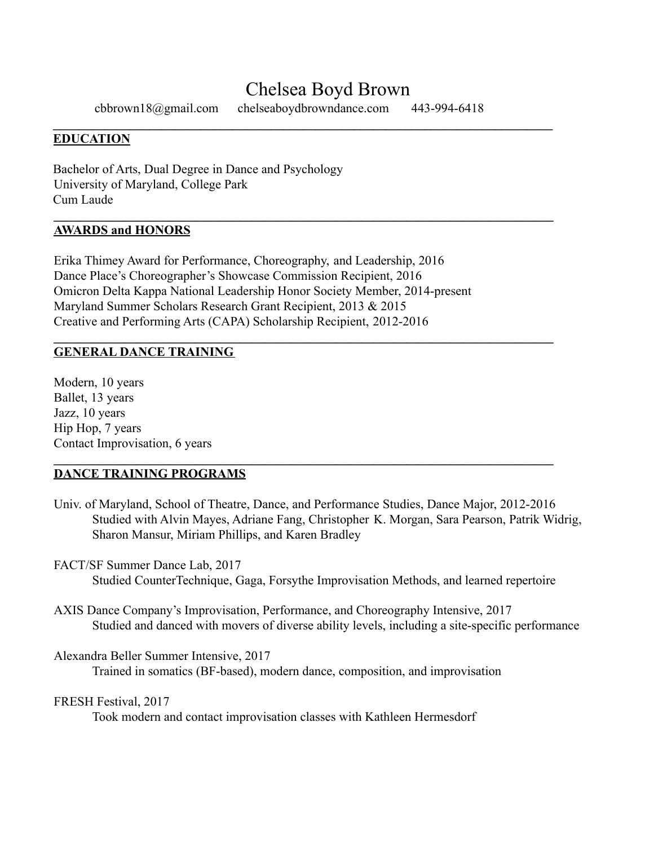# Chelsea Boyd Brown

 $\mathcal{L}_\mathcal{L} = \{ \mathcal{L}_\mathcal{L} = \{ \mathcal{L}_\mathcal{L} = \{ \mathcal{L}_\mathcal{L} = \{ \mathcal{L}_\mathcal{L} = \{ \mathcal{L}_\mathcal{L} = \{ \mathcal{L}_\mathcal{L} = \{ \mathcal{L}_\mathcal{L} = \{ \mathcal{L}_\mathcal{L} = \{ \mathcal{L}_\mathcal{L} = \{ \mathcal{L}_\mathcal{L} = \{ \mathcal{L}_\mathcal{L} = \{ \mathcal{L}_\mathcal{L} = \{ \mathcal{L}_\mathcal{L} = \{ \mathcal{L}_\mathcal{$ 

 $\mathcal{L}_\mathcal{L} = \{ \mathcal{L}_\mathcal{L} = \{ \mathcal{L}_\mathcal{L} = \{ \mathcal{L}_\mathcal{L} = \{ \mathcal{L}_\mathcal{L} = \{ \mathcal{L}_\mathcal{L} = \{ \mathcal{L}_\mathcal{L} = \{ \mathcal{L}_\mathcal{L} = \{ \mathcal{L}_\mathcal{L} = \{ \mathcal{L}_\mathcal{L} = \{ \mathcal{L}_\mathcal{L} = \{ \mathcal{L}_\mathcal{L} = \{ \mathcal{L}_\mathcal{L} = \{ \mathcal{L}_\mathcal{L} = \{ \mathcal{L}_\mathcal{$ 

 $\mathcal{L}_\mathcal{L} = \{ \mathcal{L}_\mathcal{L} = \{ \mathcal{L}_\mathcal{L} = \{ \mathcal{L}_\mathcal{L} = \{ \mathcal{L}_\mathcal{L} = \{ \mathcal{L}_\mathcal{L} = \{ \mathcal{L}_\mathcal{L} = \{ \mathcal{L}_\mathcal{L} = \{ \mathcal{L}_\mathcal{L} = \{ \mathcal{L}_\mathcal{L} = \{ \mathcal{L}_\mathcal{L} = \{ \mathcal{L}_\mathcal{L} = \{ \mathcal{L}_\mathcal{L} = \{ \mathcal{L}_\mathcal{L} = \{ \mathcal{L}_\mathcal{$ 

 $\mathcal{L}_\mathcal{L} = \{ \mathcal{L}_\mathcal{L} = \{ \mathcal{L}_\mathcal{L} = \{ \mathcal{L}_\mathcal{L} = \{ \mathcal{L}_\mathcal{L} = \{ \mathcal{L}_\mathcal{L} = \{ \mathcal{L}_\mathcal{L} = \{ \mathcal{L}_\mathcal{L} = \{ \mathcal{L}_\mathcal{L} = \{ \mathcal{L}_\mathcal{L} = \{ \mathcal{L}_\mathcal{L} = \{ \mathcal{L}_\mathcal{L} = \{ \mathcal{L}_\mathcal{L} = \{ \mathcal{L}_\mathcal{L} = \{ \mathcal{L}_\mathcal{$ 

cbbrown18@gmail.com chelseaboydbrowndance.com 443-994-6418

# **EDUCATION**

Bachelor of Arts, Dual Degree in Dance and Psychology University of Maryland, College Park Cum Laude

### **AWARDS and HONORS**

Erika Thimey Award for Performance, Choreography, and Leadership, 2016 Dance Place's Choreographer's Showcase Commission Recipient, 2016 Omicron Delta Kappa National Leadership Honor Society Member, 2014-present Maryland Summer Scholars Research Grant Recipient, 2013 & 2015 Creative and Performing Arts (CAPA) Scholarship Recipient, 2012-2016

# **GENERAL DANCE TRAINING**

Modern, 10 years Ballet, 13 years Jazz, 10 years Hip Hop, 7 years Contact Improvisation, 6 years

# **DANCE TRAINING PROGRAMS**

- Univ. of Maryland, School of Theatre, Dance, and Performance Studies, Dance Major, 2012-2016 Studied with Alvin Mayes, Adriane Fang, Christopher K. Morgan, Sara Pearson, Patrik Widrig, Sharon Mansur, Miriam Phillips, and Karen Bradley
- FACT/SF Summer Dance Lab, 2017

Studied CounterTechnique, Gaga, Forsythe Improvisation Methods, and learned repertoire

AXIS Dance Company's Improvisation, Performance, and Choreography Intensive, 2017 Studied and danced with movers of diverse ability levels, including a site-specific performance

Alexandra Beller Summer Intensive, 2017

Trained in somatics (BF-based), modern dance, composition, and improvisation

### FRESH Festival, 2017

Took modern and contact improvisation classes with Kathleen Hermesdorf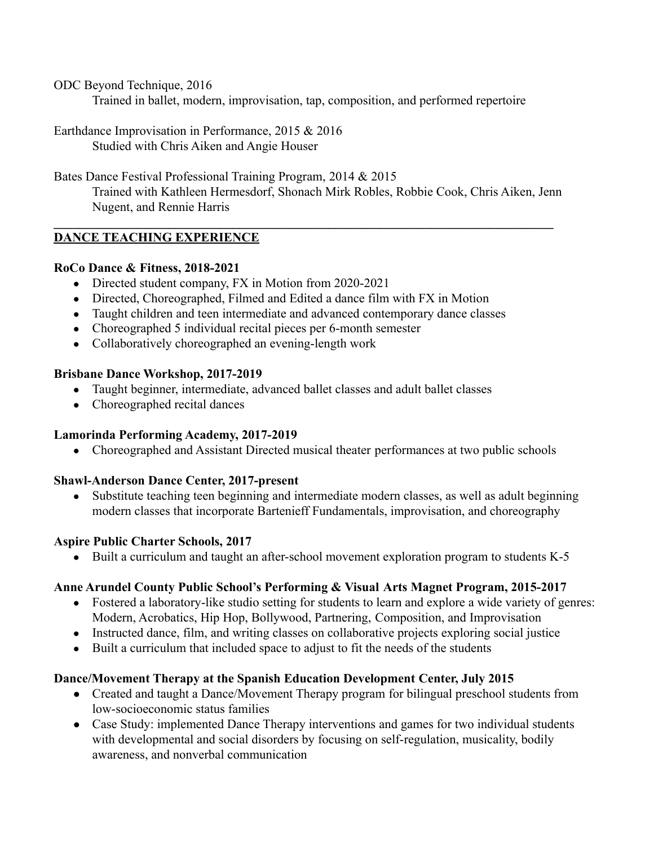ODC Beyond Technique, 2016

Trained in ballet, modern, improvisation, tap, composition, and performed repertoire

Earthdance Improvisation in Performance, 2015 & 2016 Studied with Chris Aiken and Angie Houser

Bates Dance Festival Professional Training Program, 2014 & 2015 Trained with Kathleen Hermesdorf, Shonach Mirk Robles, Robbie Cook, Chris Aiken, Jenn Nugent, and Rennie Harris

 $\mathcal{L}_\mathcal{L} = \{ \mathcal{L}_\mathcal{L} = \{ \mathcal{L}_\mathcal{L} = \{ \mathcal{L}_\mathcal{L} = \{ \mathcal{L}_\mathcal{L} = \{ \mathcal{L}_\mathcal{L} = \{ \mathcal{L}_\mathcal{L} = \{ \mathcal{L}_\mathcal{L} = \{ \mathcal{L}_\mathcal{L} = \{ \mathcal{L}_\mathcal{L} = \{ \mathcal{L}_\mathcal{L} = \{ \mathcal{L}_\mathcal{L} = \{ \mathcal{L}_\mathcal{L} = \{ \mathcal{L}_\mathcal{L} = \{ \mathcal{L}_\mathcal{$ 

# **DANCE TEACHING EXPERIENCE**

### **RoCo Dance & Fitness, 2018-2021**

- Directed student company, FX in Motion from 2020-2021
- Directed, Choreographed, Filmed and Edited a dance film with FX in Motion
- Taught children and teen intermediate and advanced contemporary dance classes
- Choreographed 5 individual recital pieces per 6-month semester
- Collaboratively choreographed an evening-length work

### **Brisbane Dance Workshop, 2017-2019**

- Taught beginner, intermediate, advanced ballet classes and adult ballet classes
- Choreographed recital dances

# **Lamorinda Performing Academy, 2017-2019**

• Choreographed and Assistant Directed musical theater performances at two public schools

# **Shawl-Anderson Dance Center, 2017-present**

• Substitute teaching teen beginning and intermediate modern classes, as well as adult beginning modern classes that incorporate Bartenieff Fundamentals, improvisation, and choreography

# **Aspire Public Charter Schools, 2017**

• Built a curriculum and taught an after-school movement exploration program to students K-5

# **Anne Arundel County Public School's Performing & Visual Arts Magnet Program, 2015-2017**

- Fostered a laboratory-like studio setting for students to learn and explore a wide variety of genres: Modern, Acrobatics, Hip Hop, Bollywood, Partnering, Composition, and Improvisation
- Instructed dance, film, and writing classes on collaborative projects exploring social justice
- Built a curriculum that included space to adjust to fit the needs of the students

# **Dance/Movement Therapy at the Spanish Education Development Center, July 2015**

- Created and taught a Dance/Movement Therapy program for bilingual preschool students from low-socioeconomic status families
- Case Study: implemented Dance Therapy interventions and games for two individual students with developmental and social disorders by focusing on self-regulation, musicality, bodily awareness, and nonverbal communication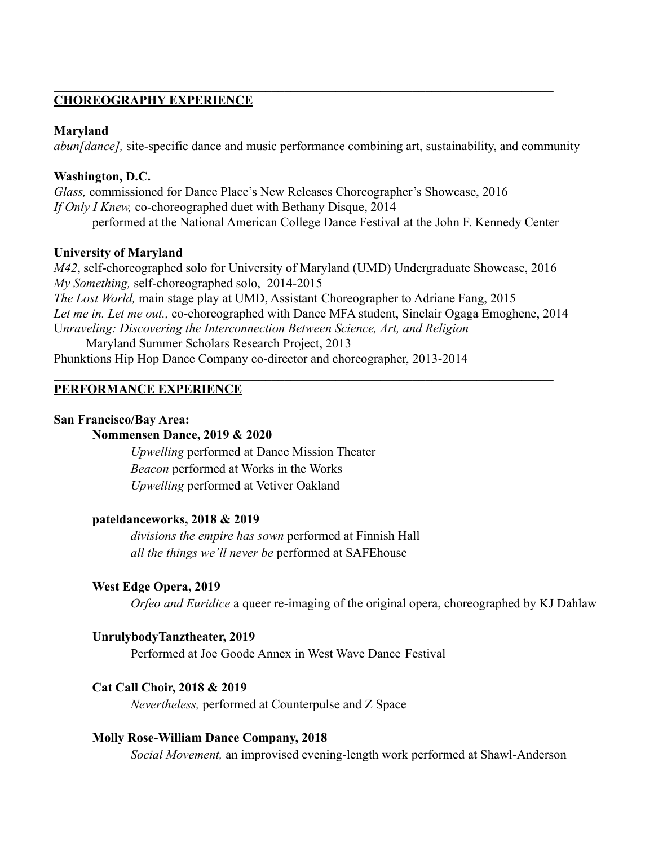### **CHOREOGRAPHY EXPERIENCE**

#### **Maryland**

*abun[dance],* site-specific dance and music performance combining art, sustainability, and community

 $\mathcal{L}_\mathcal{L} = \{ \mathcal{L}_\mathcal{L} = \{ \mathcal{L}_\mathcal{L} = \{ \mathcal{L}_\mathcal{L} = \{ \mathcal{L}_\mathcal{L} = \{ \mathcal{L}_\mathcal{L} = \{ \mathcal{L}_\mathcal{L} = \{ \mathcal{L}_\mathcal{L} = \{ \mathcal{L}_\mathcal{L} = \{ \mathcal{L}_\mathcal{L} = \{ \mathcal{L}_\mathcal{L} = \{ \mathcal{L}_\mathcal{L} = \{ \mathcal{L}_\mathcal{L} = \{ \mathcal{L}_\mathcal{L} = \{ \mathcal{L}_\mathcal{$ 

### **Washington, D.C.**

*Glass,* commissioned for Dance Place's New Releases Choreographer's Showcase, 2016 *If Only I Knew,* co-choreographed duet with Bethany Disque, 2014 performed at the National American College Dance Festival at the John F. Kennedy Center

#### **University of Maryland**

*M42*, self-choreographed solo for University of Maryland (UMD) Undergraduate Showcase, 2016 *My Something,* self-choreographed solo, 2014-2015 *The Lost World,* main stage play at UMD, Assistant Choreographer to Adriane Fang, 2015 *Let me in. Let me out.,* co-choreographed with Dance MFA student, Sinclair Ogaga Emoghene, 2014 U*nraveling: Discovering the Interconnection Between Science, Art, and Religion* Maryland Summer Scholars Research Project, 2013

 $\mathcal{L}_\mathcal{L} = \{ \mathcal{L}_\mathcal{L} = \{ \mathcal{L}_\mathcal{L} = \{ \mathcal{L}_\mathcal{L} = \{ \mathcal{L}_\mathcal{L} = \{ \mathcal{L}_\mathcal{L} = \{ \mathcal{L}_\mathcal{L} = \{ \mathcal{L}_\mathcal{L} = \{ \mathcal{L}_\mathcal{L} = \{ \mathcal{L}_\mathcal{L} = \{ \mathcal{L}_\mathcal{L} = \{ \mathcal{L}_\mathcal{L} = \{ \mathcal{L}_\mathcal{L} = \{ \mathcal{L}_\mathcal{L} = \{ \mathcal{L}_\mathcal{$ 

Phunktions Hip Hop Dance Company co-director and choreographer, 2013-2014

#### **PERFORMANCE EXPERIENCE**

#### **San Francisco/Bay Area:**

### **Nommensen Dance, 2019 & 2020**

*Upwelling* performed at Dance Mission Theater *Beacon* performed at Works in the Works *Upwelling* performed at Vetiver Oakland

#### **pateldanceworks, 2018 & 2019**

*divisions the empire has sown* performed at Finnish Hall *all the things we'll never be* performed at SAFEhouse

#### **West Edge Opera, 2019**

*Orfeo and Euridice* a queer re-imaging of the original opera, choreographed by KJ Dahlaw

#### **UnrulybodyTanztheater, 2019**

Performed at Joe Goode Annex in West Wave Dance Festival

#### **Cat Call Choir, 2018 & 2019**

*Nevertheless,* performed at Counterpulse and Z Space

#### **Molly Rose-William Dance Company, 2018**

*Social Movement,* an improvised evening-length work performed at Shawl-Anderson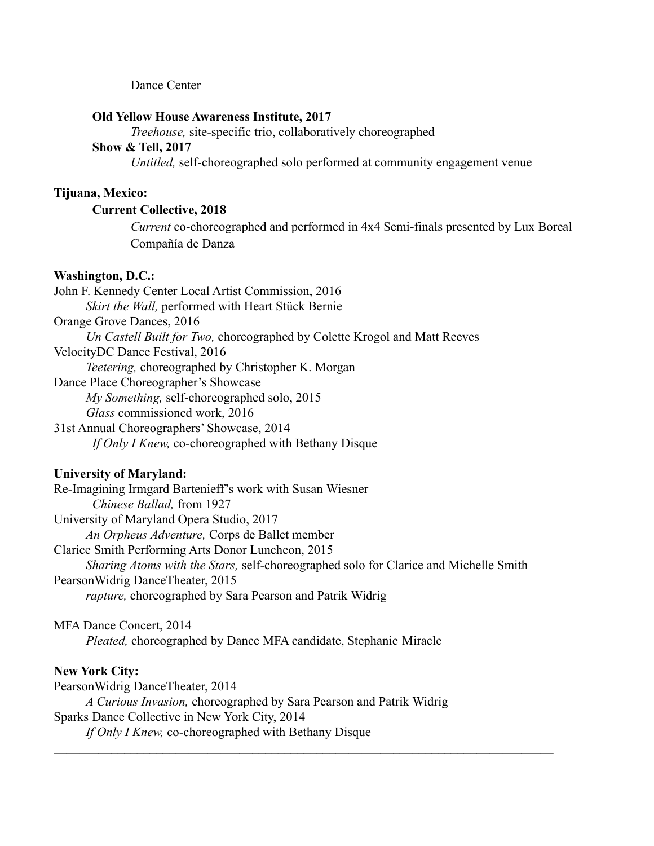#### Dance Center

#### **Old Yellow House Awareness Institute, 2017**

*Treehouse,* site-specific trio, collaboratively choreographed

# **Show & Tell, 2017**

*Untitled,* self-choreographed solo performed at community engagement venue

### **Tijuana, Mexico:**

#### **Current Collective, 2018**

*Current* co-choreographed and performed in 4x4 Semi-finals presented by Lux Boreal Compañía de Danza

#### **Washington, D.C.:**

John F. Kennedy Center Local Artist Commission, 2016 *Skirt the Wall,* performed with Heart Stück Bernie Orange Grove Dances, 2016 *Un Castell Built for Two,* choreographed by Colette Krogol and Matt Reeves VelocityDC Dance Festival, 2016 *Teetering,* choreographed by Christopher K. Morgan Dance Place Choreographer's Showcase *My Something,* self-choreographed solo, 2015 *Glass* commissioned work, 2016 31st Annual Choreographers' Showcase, 2014 *If Only I Knew,* co-choreographed with Bethany Disque

#### **University of Maryland:**

Re-Imagining Irmgard Bartenieff's work with Susan Wiesner *Chinese Ballad,* from 1927 University of Maryland Opera Studio, 2017 *An Orpheus Adventure,* Corps de Ballet member Clarice Smith Performing Arts Donor Luncheon, 2015 *Sharing Atoms with the Stars,* self-choreographed solo for Clarice and Michelle Smith PearsonWidrig DanceTheater, 2015 *rapture,* choreographed by Sara Pearson and Patrik Widrig

 $\mathcal{L}_\mathcal{L} = \{ \mathcal{L}_\mathcal{L} = \{ \mathcal{L}_\mathcal{L} = \{ \mathcal{L}_\mathcal{L} = \{ \mathcal{L}_\mathcal{L} = \{ \mathcal{L}_\mathcal{L} = \{ \mathcal{L}_\mathcal{L} = \{ \mathcal{L}_\mathcal{L} = \{ \mathcal{L}_\mathcal{L} = \{ \mathcal{L}_\mathcal{L} = \{ \mathcal{L}_\mathcal{L} = \{ \mathcal{L}_\mathcal{L} = \{ \mathcal{L}_\mathcal{L} = \{ \mathcal{L}_\mathcal{L} = \{ \mathcal{L}_\mathcal{$ 

MFA Dance Concert, 2014 *Pleated,* choreographed by Dance MFA candidate, Stephanie Miracle

#### **New York City:**

PearsonWidrig DanceTheater, 2014 *A Curious Invasion,* choreographed by Sara Pearson and Patrik Widrig Sparks Dance Collective in New York City, 2014 *If Only I Knew,* co-choreographed with Bethany Disque